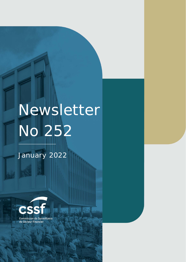# Newsletter No 252

幱

Commission de Surveillance du NEWSLETTER NO 252 JANUARY **2022** Section Financier Financier page 1988 – 1988 – 1988 – 1988 – 1988 – 1988 – 1988 – 1988 – 1988 – 1988 – 1988 – 1

January 2022

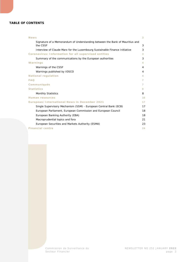#### **TABLE OF CONTENTS**

| <b>News</b>                                                                              | 3  |
|------------------------------------------------------------------------------------------|----|
| Signature of a Memorandum of Understanding between the Bank of Mauritius and<br>the CSSF | 3  |
| Interview of Claude Marx for the Luxembourg Sustainable Finance Initiative               | 3  |
| Coronavirus: Information for all supervised entities                                     | 3  |
| Summary of the communications by the European authorities                                | 3  |
| Warnings                                                                                 | 4  |
| Warnings of the CSSF                                                                     | 4  |
| Warnings published by IOSCO                                                              | 4  |
| <b>National regulation</b>                                                               | 4  |
| <b>FAO</b>                                                                               | 7  |
| <b>Communiqués</b>                                                                       | 7  |
| <b>Statistics</b>                                                                        | 8  |
| <b>Monthly Statistics</b>                                                                | 8  |
| <b>Human resources</b>                                                                   | 16 |
| <b>European/International News in December 2021</b>                                      | 17 |
| Single Supervisory Mechanism (SSM) - European Central Bank (ECB)                         | 17 |
| European Parliament, European Commission and European Council                            | 18 |
| European Banking Authority (EBA)                                                         | 18 |
| Macroprudential topics and fora                                                          | 21 |
| European Securities and Markets Authority (ESMA)                                         | 23 |
| <b>Financial centre</b>                                                                  | 24 |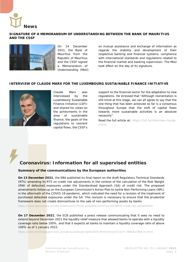<span id="page-2-0"></span>

#### <span id="page-2-1"></span>**SIGNATURE OF A MEMORANDUM OF UNDERSTANDING BETWEEN THE BANK OF MAURITIUS AND THE CSSF**



On 14 December 2021, the Bank of Mauritius from the Republic of Mauritius and the CSSF signed a Memorandum of Understanding (MoU) on mutual assistance and exchange of information as regards the stability and development of their respective banking and financial systems, compliance with international standards and regulations related to the financial market and banking supervision. The MoU took effect on the day of its signature.

#### <span id="page-2-2"></span>**INTERVIEW OF CLAUDE MARX FOR THE LUXEMBOURG SUSTAINABLE FINANCE INITIATIVE**



Claude Marx was interviewed by the Luxembourg Sustainable Finance Initiative (LSFI) and shared his views on the achievments in the area of sustainable finance, the goals of the regulations to reorient capital flows, the CSSF's

support to the financial sector for the adaptation to new regulations. He stressed that "Although reorientation is still timid at this stage, we can all agree to say that the one thing that has been achieved so far is a consensus throughout Europe that the shift of capital flows towards more sustainable activities is an absolute necessity".

Read the full article at: [https://lsfi.lu/interview-claude](https://lsfi.lu/interview-claude-marx/)[marx/](https://lsfi.lu/interview-claude-marx/)

# <span id="page-2-3"></span>**Coronavirus: Information for all supervised entities**

#### <span id="page-2-4"></span>**Summary of the communications by the European authorities**

**On 13 December 2021**, the EBA published its final report on the draft Regulatory Technical Standards (RTS) amending its RTS on credit risk adjustments in the context of the calculation of the Risk Weight (RW) of defaulted exposures under the Standardised Approach (SA) of credit risk. The proposed amendments follow up on the European Commission's Action Plan to tackle Non-Performing Loans (NPL) in the aftermath of the COVID-19 pandemic, which indicated the need for a revision of the treatment of purchased defaulted exposures under the SA. This revision is necessary to ensure that the prudential framework does not create disincentives to the sale of non-performing assets by banks.

<https://www.eba.europa.eu/eba-publishes%C2%A0-amended-technical-standards-credit-risk-adjustments>

**On 17 December 2021**, the ECB published a press release communicating that it sees no need to extend beyond December 2021 the liquidity relief measure that allowed banks to operate with a liquidity coverage ratio below 100%, and that it expects all banks to maintain a liquidity coverage ratio of above 100% as of 1 January 2022.

[https://www.bankingsupervision.europa.eu/press/pr/date/2021/html/ssm.pr211217~39656a78e8.en.html](https://www.bankingsupervision.europa.eu/press/pr/date/2021/html/ssm.pr211217%7E39656a78e8.en.html)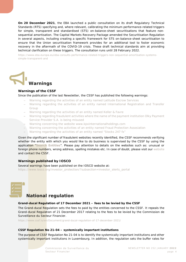**On 20 December 2021**, the EBA launched a public consultation on its draft Regulatory Technical Standards (RTS) specifying and, where relevant, calibrating the minimum performance-related triggers for simple, transparent and standardised (STS) on-balance-sheet securitisations that feature nonsequential amortisation. The Capital Markets Recovery Package amended the Securitisation Regulation in several aspects, including creating a specific framework for STS on-balance-sheet securitisation to ensure that the Union securitisation framework provides for an additional tool to foster economic recovery in the aftermath of the COVID-19 crisis. These draft technical standards aim at providing technical clarification on these triggers. The consultation runs until 28 February 2022.

[https://www.eba.europa.eu/eba-consults-performance-related-triggers-non-sequential-amortisation-systems](https://www.eba.europa.eu/eba-consults-performance-related-triggers-non-sequential-amortisation-systems-simple-transparent-and)[simple-transparent-and](https://www.eba.europa.eu/eba-consults-performance-related-triggers-non-sequential-amortisation-systems-simple-transparent-and)

<span id="page-3-0"></span>

#### <span id="page-3-1"></span>**Warnings of the CSSF**

Since the publication of the last Newsletter, the CSSF has published the following warnings:

- − [Warning regarding the activities of an entity named Latitude Escrow Services](https://www.cssf.lu/en/2021/12/warning-regarding-the-activities-of-an-entity-named-latitude-escrow-services/)
- − [Warning regarding the activities of an entity named International Registration and Transfer](https://www.cssf.lu/en/2021/12/warning-regarding-the-activities-of-an-entity-named-international-registration-and-transfer-group/)  [Group](https://www.cssf.lu/en/2021/12/warning-regarding-the-activities-of-an-entity-named-international-registration-and-transfer-group/)
- − [Warning regarding the activities of an entity named Keller & Favre](https://www.cssf.lu/en/2021/12/warning-regarding-the-activities-of-an-entity-named-keller-favre/)
- − [Warning regarding fraudulent activities where the name of the payment institution Olky Payment](https://www.cssf.lu/en/2021/12/warning-regarding-fraudulent-activities-where-the-name-of-the-payment-institution-olky-payment-service-provider-s-a-is-being-misused/)  [Service Provider S.A. is being misused](https://www.cssf.lu/en/2021/12/warning-regarding-fraudulent-activities-where-the-name-of-the-payment-institution-olky-payment-service-provider-s-a-is-being-misused/)
- − [Warning concerning the website www.kpxinternationalholdings.com](https://www.cssf.lu/en/2022/01/warning-concerning-the-website-www-kpxinternationalholdings/)
- − [Warning concerning the activities of an entity named Fraud Protection Assosiation](https://www.cssf.lu/en/2022/01/warning-regarding-the-activities-of-an-entity-named-fraud-protection-assosiation/)
- − [Warning regarding the activities of an entity named "Stocks 247 fx"](https://www.cssf.lu/en/2022/01/warning-regarding-the-activities-of-an-entity-named-stocks-247-fx/)

Given the significant number of fraudulent websites recently identified, the CSSF recommends verifying whether the entity with which you would like to do business is supervised by the CSSF by using the application "**[Search Entities](https://searchentities.apps.cssf.lu/search-entities/search?lng=en)**". Please pay attention to details on the websites such as: unusual or foreign phone numbers, wrong address, spelling mistakes etc. In case of doubt, please visit our [website](https://www.cssf.lu/en/financial-fraud/) and contact the CSSF.

#### <span id="page-3-2"></span>**Warnings published by IOSCO**

Several warnings have been published on the IOSCO website at: [https://www.iosco.org/investor\\_protection/?subsection=investor\\_alerts\\_portal](https://www.iosco.org/investor_protection/?subsection=investor_alerts_portal)

<span id="page-3-3"></span>

# **National regulation**

#### **Grand-ducal Regulation of 17 December 2021 – fees to be levied by the CSSF**

The Grand-ducal Regulation sets the fees to paid by the entities concerned to the CSSF. It repeals the Grand-ducal Regulation of 21 December 2017 relating to the fees to be levied by the Commission de Surveillance du Secteur Financier.

<https://www.cssf.lu/en/Document/grand-ducal-regulation-of-17-december-2021/>

#### **CSSF Regulation No 21-04 – systemically important institutions**

The purpose of CSSF Regulation No 21-04 is to identify the systemically important institutions and other systemically important institutions in Luxembourg. In addition, the regulation sets the buffer rates for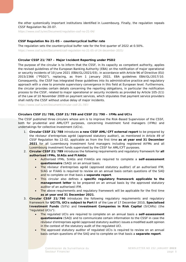the other systemically important institutions identified in Luxembourg. Finally, the regulation repeals CSSF Regulation No 20-07.

<https://www.cssf.lu/en/Document/regulation-cssf-no-21-04/>

#### **CSSF Regulation No 21-05 – countercyclical buffer rate**

The regulation sets the countercyclical buffer rate for the first quarter of 2022 at 0.50%.

<https://www.cssf.lu/en/Document/cssf-regulation-no-21-05-of-24-december-2021/>

#### **Circular CSSF 21/787 – Major Incident Reporting under PSD2**

The purpose of the circular is to inform that the CSSF, in its capacity as competent authority, applies the revised guidelines of the European Banking Authority (EBA) on the notification of major operational or security incidents of 10 June 2021 (EBA/GL/2021/03), in accordance with Article 96 of Directive (EU) 2015/2366 ("PSD2"), replacing, as from 1 January 2022, EBA guidelines EBA/GL/2017/10. Consequently, the CSSF has integrated these guidelines into its administrative practice and regulatory approach with a view to promote supervisory convergence in this field at European level. Furthermore, the circular provides certain details concerning the reporting obligations, in particular the notification process to the CSSF, related to major operational or security incidents as provided by Article 105-2(1) of the Law of 10 November 2009 on payment services, which stipulates that payment service providers shall notify the CSSF without undue delay of major incidents.

<https://www.cssf.lu/en/Document/circular-cssf-21-787/>

#### **Circulars CSSF 21/788, CSSF 21/789 and CSSF 21/790 – IFMs and UCIs**

The CSSF published three circulars whose aim is to improve the Risk-Based Supervision of the CSSF, both for prudential and AML/CFT purposes, concerning investment fund managers (IFMs) and undertakings for collective investment (UCIs).

- 1. **Circular CSSF 21/788** introduces **a new CSSF AML/CFT external report** to be prepared by the *réviseur d'entreprises agréé* (approved statutory auditor), as mentioned in Article 49 of CSSF Regulation No 12-02, applicable as from the first time **as at year end 31 December 2021** for all Luxembourg investment fund managers including registered AIFMs and all Luxembourg investment funds supervised by the CSSF for AML/CFT purposes.
- 2. **Circular CSSF 21/789** introduces the following requirements and regulatory framework for **all authorised IFMs, SIAGs and FIAAGs**:
	- Authorised IFMs, SIAGs and FIAAGs are required to complete a **self-assessment questionnaire** (SAQ) on an annual basis.
	- The *réviseur d'entreprises agréé* (approved statutory auditor) of an authorised IFM, SIAG or FIAAG is required to review on an annual basis certain questions of the SAQ and to complete on that basis a **separate report**.
	- This circular also defines a **specific regulatory framework applicable to the management letter** to be prepared on an annual basis by the approved statutory auditor of an authorised IFM.
	- The above requirements and regulatory framework will be applicable for the first time **as at year end 31 December 2021**.
- 3. **Circular CSSF 21/790** introduces the following regulatory requirements and regulatory framework for **UCITS, UCIs subject to Part II** of the Law of 17 December 2010, **Specialised Investment Funds** (SIFs) and **Investment Companies in Risk Capital** (SICARs) (the "regulated UCIs"):
	- The regulated UCIs are required to complete on an annual basis a **self-assessment questionnaire** (SAQ) and to communicate certain information to the CSSF in case the *réviseur d'entreprises agréé* (approved statutory auditor) issues a modified audit opinion in the context of the statutory audit of the regulated UCI.
	- The approved statutory auditor of regulated UCIs is required to review on an annual basis certain questions of the SAQ and to complete on that basis a **separate report**.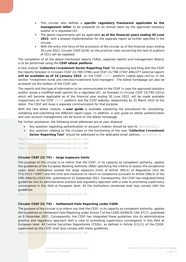- This circular also defines a **specific regulatory framework applicable to the management letter** to be prepared on an annual basis by the approved statutory auditor of a regulated UCI.
- The above requirements will be applicable **as of the financial years ending 30 June 2022**, with a phased implementation for the separate report as further specified in the circular.
- With the entry into force of the provisions of the circular as of the financial years ending 30 June 2022, Circular CSSF 02/81 on the practical rules concerning the task of auditors of UCIs will be repealed.

The completion of all the above-mentioned reports (SAQs, separate reports and management letters) is to be performed using the **CSSF eDesk platform**.

A new module "**Collective Investment Sector Reporting Tool**" for preparing and filing with the CSSF the reports foreseen in Circulars CSSF 21/789 (IFMs) and CSSF 21/788 (CSSF AML/CFT external report) **will be available as of 10 January 2022**, on the CSSF [eDesk](https://edesk.apps.cssf.lu/edesk-dashboard/dashboard/getstarted) platform (edesk.apps.cssf.lu) in the section "Investment funds and vehicles/Investment fund managers". The eDesk homepage can also be accessed via the toolbox of the CSSF site.

The reports and the type of information to be communicated to the CSSF in case the approved statutory auditor issues a modified audit opinion for a regulated UCI, as foreseen in Circular CSSF 21/790 (UCIs) which will become applicable as of the financial year ending 30 June 2022, will be made available respectively on the CSSF [eDesk](https://edesk.apps.cssf.lu/edesk-dashboard/dashboard/getstarted) platform and the CSSF website, respectively by 31 March 2022 at the latest. The CSSF will issue a separate communication for that purpose.

With the new eDesk module, a **user guide** is available explaining the procedures for completing, validating and submitting the different report types. In addition, a user guide on eDesk authentication and user account management can be found on the eDesk homepage.

For further assistance, the following email addresses are at your disposal:

- Any question regarding authentication or account creation should be sent to [eDesk@cssf.lu.](mailto:eDesk@cssf.lu)
- Any question relating to the circulars or the functioning of the new "**Collective Investment Sector Reporting Tool**" should be addressed to the dedicated email address [cisero@cssf.lu.](mailto:cisero@cssf.lu)

<https://www.cssf.lu/en/Document/circular-cssf-21-788/> <https://www.cssf.lu/en/Document/circular-cssf-21-789/> <https://www.cssf.lu/en/Document/circular-cssf-21-790/>

#### **Circular CSSF 22/791 – large exposure limits**

The purpose of the circular is to inform that the CSSF, in its capacity as competent authority, applies the guidelines of the European Banking Authority (EBA) specifying the criteria to assess the exceptional cases when institutions exceed the large exposure limits of Article 395(1) of Regulation (EU) No 575/2013 ("CRR") and the time and measures to return to compliance pursuant to Article 396(3) of the CRR (EBA/GL/2021/09), published on 15 September 2021. Consequently, the CSSF has integrated these guidelines into its administrative practice and regulatory approach with a view to promoting supervisory convergence in this field at European level. All the institutions concerned shall duly comply with the guidelines.

<https://www.cssf.lu/en/Document/circular-cssf-22-791/>

#### **Circular CSSF 22/792 – Settlement Fails Reporting under CSDR**

The purpose of the circular is to inform you that the CSSF, in its capacity as competent authority, applies the Guidelines on Settlement Fails Reporting under Article 7 of the CSDR (ESMA70-156-4717), published on 8 December 2021. Consequently, the CSSF has integrated these guidelines into its administrative practice and regulatory approach with a view to promoting supervisory convergence in this field at European level. All Central Securities Depositories (CSDs), as defined in Article 2(1)(1) of the CSDR, supervised by the CSSF shall duly comply with these guidelines.

<https://www.cssf.lu/en/Document/circular-cssf-22-792/>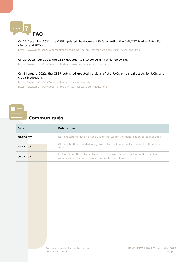<span id="page-6-0"></span>

#### On 21 December 2021, the CSSF updated the document *FAQ regarding the AML/CFT Market Entry Form (Funds and IFMs)*.

<https://www.cssf.lu/en/Document/faq-regarding-the-aml-cft-market-entry-form-funds-and-ifms/>

#### On 30 December 2021, the CSSF updated its FAQ concerning whistleblowing.

<https://www.cssf.lu/en/Document/whistleblowing-questions-answers/>

#### On 4 January 2022, the CSSF published updated versions of the FAQs on virtual assets for UCIs and credit institutions.

<https://www.cssf.lu/en/Document/faq-virtual-assets-ucis/> <https://www.cssf.lu/en/Document/faq-virtual-assets-credit-institutions/>

# <span id="page-6-1"></span>**Communiqués**

| Date       | <b>Publications</b>                                                                                                                            |
|------------|------------------------------------------------------------------------------------------------------------------------------------------------|
| 28.12.2021 | ESRB recommendation on the use of the LEI for the identification of legal entities                                                             |
| 28.12.2021 | Global situation of undertakings for collective investment at the end of November<br>2021                                                      |
| 06.01.2022 | EBA alerts on the detrimental impact of unwarranted de-risking and ineffective<br>management of money laundering and terrorist financing risks |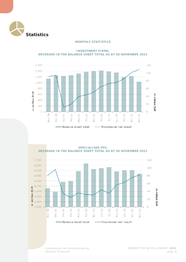<span id="page-7-1"></span><span id="page-7-0"></span>

#### **MONTHLY STATISTICS**

1,600 120 1,400 100 1,200 80 1,000 800 60



**INVESTMENT FIRMS: DECREASE IN THE BALANCE SHEET TOTAL AS AT 30 NOVEMBER 2021**

**SPECIALISED PFS: DECREASE IN THE BALANCE SHEET TOTAL AS AT 30 NOVEMBER 2021**

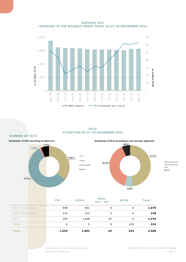**SUPPORT PFS: INCREASE IN THE BALANCE SHEET TOTAL AS AT 30 NOVEMBER 2021**



#### **UCIS: SITUATION AS AT 30 NOVEMBER 2021**



| .                    |
|----------------------|
| Part II (2010 Law)   |
| EFS                  |
| $\blacksquare$ SICAR |
|                      |
|                      |

|                    | <b>FCP</b> | <b>SICAV</b> | <b>Other</b><br>UCI / SIF | <b>SICAR</b> | <b>Total</b> |
|--------------------|------------|--------------|---------------------------|--------------|--------------|
| Part I (2010 Law)  | 849        | 821          | 0                         | 0            | 1,670        |
| Part II (2010 Law) | 113        | 123          | $\mathcal{P}$             | O            | 238          |
| <b>FIS</b>         | 297        | 1,038        | 41                        | 0            | 1,376        |
| <b>SICAR</b>       | O          | 0            | O                         | 224          | 224          |
| <b>Total</b>       | 1,259      | 1,982        | 43                        | 224          | 3,508        |

**NUMBER OF UCIS**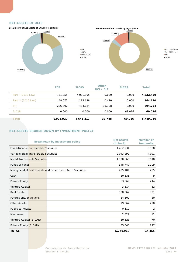#### **NET ASSETS OF UCIS**





**Part I** (2010 Law)  $Part II (2010 Law)$  $IFIS$  $\blacksquare$ SICAR

|                    | <b>FCP</b> | <b>SICAV</b> | <b>Other</b><br>UCI / SIF | <b>SICAR</b> | <b>Total</b> |
|--------------------|------------|--------------|---------------------------|--------------|--------------|
| Part I (2010 Law)  | 731.055    | 4.091.395    | 0.000                     | 0.000        | 4,822.450    |
| Part II (2010 Law) | 48.072     | 115.698      | 0.420                     | 0.000        | 164.190      |
| <b>SIF</b>         | 226.802    | 434.124      | 33.328                    | 0.000        | 694.254      |
| <b>SICAR</b>       | 0.000      | 0.000        | 0.000                     | 69.016       | 69.016       |
| <b>Total</b>       | 1.005.929  | 4.641.217    | 33.748                    | 69.016       | 5,749.910    |

#### **NET ASSETS BROKEN DOWN BY INVESTMENT POLICY**

|                         |                                             | <b>Breakdown by investment policy</b>                    | <b>Net assets</b><br>$(in bn \in)$ | Number of<br>fund units |
|-------------------------|---------------------------------------------|----------------------------------------------------------|------------------------------------|-------------------------|
|                         | <b>Fixed-Income Transferable Securities</b> |                                                          | 1,462.234                          | 3,188                   |
|                         | Variable-Yield Transferable Securities      |                                                          | 2,043.290                          | 4,091                   |
|                         | <b>Mixed Transferable Securities</b>        |                                                          | 1,120.866                          | 3,518                   |
| <b>Funds of Funds</b>   |                                             |                                                          | 348.747                            | 2,109                   |
|                         |                                             | Money Market Instruments and Other Short-Term Securities | 425.401                            | 205                     |
| Cash                    |                                             |                                                          | 10.535                             | 9                       |
| Private Equity          |                                             |                                                          | 63.369                             | 244                     |
| Venture Capital         |                                             |                                                          | 3.614                              | 32                      |
| <b>Real Estate</b>      |                                             |                                                          | 108.367                            | 321                     |
| Futures and/or Options  |                                             |                                                          | 14.609                             | 80                      |
| <b>Other Assets</b>     |                                             |                                                          | 79.862                             | 298                     |
| Public-to-Private       |                                             |                                                          | 0.119                              | 2                       |
| Mezzanine               |                                             |                                                          | 2.829                              | 11                      |
| Venture Capital (SICAR) |                                             |                                                          | 10.528                             | 70                      |
| Private Equity (SICAR)  |                                             |                                                          | 55.540                             | 277                     |
| <b>TOTAL</b>            |                                             |                                                          | 5,749.910                          | 14,455                  |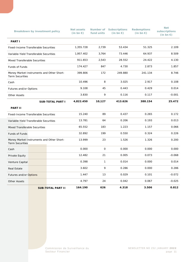|                                                                     | <b>Breakdown by investment policy</b> |                          | <b>Net assets</b><br>$(in bn \in)$ | fund units   | <b>Number of Subscriptions</b><br>(in bn $\epsilon$ ) | <b>Redemptions</b><br>(in bn $\epsilon$ ) | <b>Net</b><br>subscriptions<br>(in bn $\epsilon$ ) |
|---------------------------------------------------------------------|---------------------------------------|--------------------------|------------------------------------|--------------|-------------------------------------------------------|-------------------------------------------|----------------------------------------------------|
| <b>PART I</b>                                                       |                                       |                          |                                    |              |                                                       |                                           |                                                    |
| Fixed-Income Transferable Securities                                |                                       |                          | 1,355.728                          | 2,739        | 53.434                                                | 51.325                                    | 2.109                                              |
| Variable-Yield Transferable Securities                              |                                       |                          | 1,957.402                          | 3,764        | 73.446                                                | 64.937                                    | 8.509                                              |
| Mixed Transferable Securities                                       |                                       |                          | 911.653                            | 2,543        | 28.552                                                | 24.422                                    | 4.130                                              |
| <b>Funds of Funds</b>                                               |                                       |                          | 174.427                            | 847          | 4.730                                                 | 2.873                                     | 1.857                                              |
| Money Market Instruments and Other Short-<br><b>Term Securities</b> |                                       |                          | 399.806                            | 172          | 249.880                                               | 241.134                                   | 8.746                                              |
| Cash                                                                |                                       |                          | 10.496                             | 8            | 3.025                                                 | 2.917                                     | 0.108                                              |
| Futures and/or Options                                              |                                       |                          | 9.108                              | 45           | 0.443                                                 | 0.429                                     | 0.014                                              |
| <b>Other Assets</b>                                                 |                                       |                          | 3.830                              | 9            | 0.116                                                 | 0.117                                     | $-0.001$                                           |
| <b>SUB-TOTAL PART I</b>                                             |                                       | 4,822.450                | 10,127                             | 413.626      | 388.154                                               | 25.472                                    |                                                    |
| <b>PART II</b>                                                      |                                       |                          |                                    |              |                                                       |                                           |                                                    |
| Fixed-Income Transferable Securities                                |                                       | 15.240                   | 89                                 | 0.437        | 0.265                                                 | 0.172                                     |                                                    |
| Variable-Yield Transferable Securities                              |                                       | 13.781                   | 64                                 | 0.206        | 0.193                                                 | 0.013                                     |                                                    |
| <b>Mixed Transferable Securities</b>                                |                                       |                          | 65.552                             | 183          | 1.223                                                 | 1.157                                     | 0.066                                              |
| Funds of Funds                                                      |                                       | 32.892                   | 199                                | 0.550        | 0.324                                                 | 0.226                                     |                                                    |
| Money Market Instruments and Other Short-<br><b>Term Securities</b> |                                       |                          | 13.999                             | 23           | 1.526                                                 | 1.326                                     | 0.200                                              |
| Cash                                                                |                                       |                          | 0.000                              | $\mathsf{O}$ | 0.000                                                 | 0.000                                     | 0.000                                              |
| Private Equity                                                      |                                       |                          | 12.482                             | 21           | 0.005                                                 | 0.073                                     | $-0.068$                                           |
| Venture Capital                                                     |                                       |                          | 0.398                              | $\mathbf{1}$ | 0.014                                                 | 0.000                                     | 0.014                                              |
| <b>Real Estate</b>                                                  |                                       |                          | 3.602                              | 9            | 0.286                                                 | 0.000                                     | 0.286                                              |
| Futures and/or Options                                              |                                       |                          | 1.447                              | 13           | 0.029                                                 | 0.101                                     | $-0.072$                                           |
| <b>Other Assets</b>                                                 |                                       |                          | 4.797                              | 24           | 0.042                                                 | 0.067                                     | $-0.025$                                           |
|                                                                     |                                       | <b>SUB-TOTAL PART II</b> | 164.190                            | 626          | 4.318                                                 | 3.506                                     | 0.812                                              |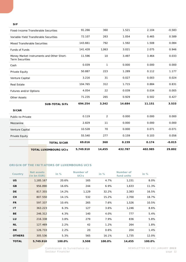#### **SIF**

| <b>TOTAL LUXEMBOURG UCIS</b>                                        | 5,749.910 | 14,455         | 432.787 | 402.985 | 29.802   |
|---------------------------------------------------------------------|-----------|----------------|---------|---------|----------|
| <b>TOTAL SICAR</b>                                                  | 69.016    | 360            | 0.159   | 0.174   | $-0.015$ |
| Private Equity                                                      | 55.540    | 277            | 0.159   | 0.103   | 0.056    |
| Venture Capital                                                     | 10.528    | 70             | 0.000   | 0.071   | $-0.071$ |
|                                                                     | 2.829     | 11             | 0.000   | 0.000   | 0.000    |
| Public-to-Private                                                   | 0.119     | $\overline{2}$ | 0.000   | 0.000   | 0.000    |
|                                                                     |           |                |         |         |          |
| <b>SUB-TOTAL SIFS</b>                                               | 694.254   | 3,342          | 14.684  | 11.151  | 3.533    |
|                                                                     | 71.235    | 265            | 0.929   | 0.502   | 0.427    |
| Futures and/or Options                                              | 4.054     | 22             | 0.039   | 0.034   | 0.005    |
|                                                                     | 104.765   | 312            | 1.715   | 0.884   | 0.831    |
| Venture Capital                                                     | 3.216     | 31             | 0.027   | 0.003   | 0.024    |
| Private Equity                                                      | 50.887    | 223            | 1.289   | 0.112   | 1.177    |
|                                                                     | 0.039     | 1              | 0.000   | 0.000   | 0.000    |
| Money Market Instruments and Other Short-<br><b>Term Securities</b> | 11.596    | 10             | 3.497   | 3.464   | 0.033    |
| Funds of Funds                                                      | 141.428   | 1,063          | 3.021   | 2.075   | 0.946    |
| <b>Mixed Transferable Securities</b>                                | 143.661   | 792            | 1.592   | 1.508   | 0.084    |
| Variable-Yield Transferable Securities                              | 72.107    | 263            | 1.054   | 0.465   | 0.589    |
| Fixed-Income Transferable Securities                                | 91.266    | 360            | 1.521   | 2.104   | $-0.583$ |
|                                                                     |           |                |         |         |          |

#### **ORIGIN OF THE INITIATORS OF LUXEMBOURG UCIS**

| <b>Country</b> | Net assets<br>(in bn EUR) | in $%$ | Number of<br><b>UCIS</b> | in $%$ | Number of<br>fund units | in $%$ |
|----------------|---------------------------|--------|--------------------------|--------|-------------------------|--------|
| <b>US</b>      | 1,185.167                 | 20.6%  | 165                      | 4.7%   | 1,151                   | 8.0%   |
| GB             | 956.890                   | 16.6%  | 244                      | 6.9%   | 1,633                   | 11.3%  |
| <b>DE</b>      | 817.355                   | 14.2%  | 1,129                    | 32.2%  | 2,383                   | 16.5%  |
| <b>CH</b>      | 807.550                   | 14.1%  | 532                      | 15.2%  | 2,700                   | 18.7%  |
| <b>FR</b>      | 597.337                   | 10.4%  | 265                      | 7.6%   | 1,526                   | 10.5%  |
| IT             | 363.223                   | 6.3%   | 127                      | 3.6%   | 1,246                   | 8.6%   |
| <b>BE</b>      | 246.312                   | 4.3%   | 140                      | 4.0%   | 777                     | 5.4%   |
| LU             | 216.338                   | 3.8%   | 279                      | 7.9%   | 836                     | 5.8%   |
| <b>NL</b>      | 127.469                   | 2.2%   | 42                       | 1.2%   | 264                     | 1.8%   |
| DK.            | 126.733                   | 2.2%   | 20                       | 0.6%   | 204                     | 1.4%   |
| <b>OTHERS</b>  | 305.536                   | 5.3%   | 565                      | 16.1%  | 1,735                   | 12.0%  |
| <b>TOTAL</b>   | 5,749.910                 | 100.0% | 3,508                    | 100.0% | 14,455                  | 100.0% |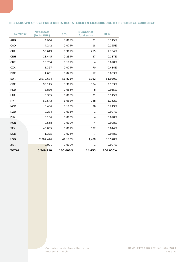#### **BREAKDOWN OF UCI FUND UNITS REGISTERED IN LUXEMBOURG BY REFERENCE CURRENCY**

| <b>Currency</b> | <b>Net assets</b><br>(in bn EUR) | in %     | <b>Number of</b><br>fund units | in $%$   |
|-----------------|----------------------------------|----------|--------------------------------|----------|
| <b>AUD</b>      | 3.984                            | 0.069%   | 21                             | 0.145%   |
| CAD             | 4.242                            | 0.074%   | 18                             | 0.125%   |
| <b>CHF</b>      | 55.619                           | 0.967%   | 255                            | 1.764%   |
| <b>CNH</b>      | 13.445                           | 0.234%   | 27                             | 0.187%   |
| <b>CNY</b>      | 10.734                           | 0.187%   | $\overline{4}$                 | 0.028%   |
| CZK             | 1.367                            | 0.024%   | 70                             | 0.484%   |
| <b>DKK</b>      | 1.661                            | 0.029%   | 12                             | 0.083%   |
| <b>EUR</b>      | 2,979.674                        | 51.821%  | 8,952                          | 61.930%  |
| GBP             | 190.145                          | 3.307%   | 304                            | 2.103%   |
| <b>HKD</b>      | 3.830                            | 0.066%   | 8                              | 0.055%   |
| <b>HUF</b>      | 0.305                            | 0.005%   | 21                             | 0.145%   |
| <b>JPY</b>      | 62.543                           | 1.088%   | 168                            | 1.162%   |
| <b>NOK</b>      | 6.486                            | 0.113%   | 36                             | 0.249%   |
| <b>NZD</b>      | 0.284                            | 0.005%   | 1                              | 0.007%   |
| <b>PLN</b>      | 0.156                            | 0.003%   | $\overline{4}$                 | 0.028%   |
| <b>RON</b>      | 0.558                            | 0.010%   | $\overline{4}$                 | 0.028%   |
| <b>SEK</b>      | 46.035                           | 0.801%   | 122                            | 0.844%   |
| <b>SGD</b>      | 1.375                            | 0.024%   | $\overline{7}$                 | 0.048%   |
| <b>USD</b>      | 2,367.446                        | 41.173%  | 4,420                          | 30.578%  |
| ZAR             | 0.021                            | 0.000%   | 1                              | 0.007%   |
| <b>TOTAL</b>    | 5,749.910                        | 100.000% | 14,455                         | 100.000% |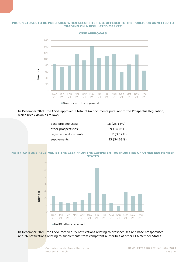#### **PROSPECTUSES TO BE PUBLISHED WHEN SECURITIES ARE OFFERED TO THE PUBLIC OR ADMITTED TO TRADING ON A REGULATED MARKET**



**CSSF APPROVALS**

In December 2021, the CSSF approved a total of 64 documents pursuant to the Prospectus Regulation, which break down as follows:

| base prospectuses:      | 18 (28.13%)  |
|-------------------------|--------------|
| other prospectuses:     | $9(14.06\%)$ |
| registration documents: | 2(3.12%)     |
| supplements:            | 35 (54.69%)  |
|                         |              |

#### **NOTIFICATIONS RECEIVED BY THE CSSF FROM THE COMPETENT AUTHORITIES OF OTHER EEA MEMBER STATES**



In December 2021, the CSSF received 25 notifications relating to prospectuses and base prospectuses and 26 notifications relating to supplements from competent authorities of other EEA Member States.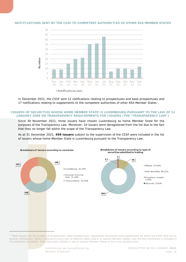

#### **NOTIFICATIONS SENT BY THE CSSF TO COMPETENT AUTHORITIES OF OTHER EEA MEMBER STATES**

In December 2021, the CSSF sent 12 notifications relating to prospectuses and base prospectuses and 17 notifications relating to supplements to the competent authorities of other EEA Member States<sup>1</sup>.

#### **ISSUERS OF SECURITIES WHOSE HOME MEMBER STATE IS LUXEMBOURG PURSUANT TO THE LAW OF 11 JANUARY 2008 ON TRANSPARENCY REQUIREMENTS FOR ISSUERS (THE "TRANSPARENCY LAW")**

Since 30 November 2021, three issuers have chosen Luxembourg as home Member State for the purposes of the Transparency Law. Moreover, 10 issuers were deregistered from the list due to the fact that they no longer fall within the scope of the Transparency Law.

As at 31 December 2021, **459 issuers** subject to the supervision of the CSSF were included in the list of issuers whose home Member State is Luxembourg pursuant to the Transparency Law.



<span id="page-14-0"></span>*<sup>1</sup> These figures are the number of prospectuses, base prospectuses, registration documents and supplements for which the CSSF sent one or several notifications. Where notifications were sent at different dates and/or in several Member States, only the first notification is included in the statistical calculation. Each document notified in one or several Member States is thus only counted once.*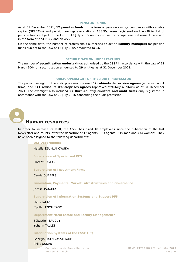#### **PENSION FUNDS**

As at 31 December 2021, **12 pension funds** in the form of pension savings companies with variable capital (SEPCAVs) and pension savings associations (ASSEPs) were registered on the official list of pension funds subject to the Law of 13 July 2005 on institutions for occupational retirement provision in the form of a SEPCAV and an ASSEP.

On the same date, the number of professionals authorised to act as **liability managers** for pension funds subject to the Law of 13 July 2005 amounted to **16**.

#### **SECURITISATION UNDERTAKINGS**

The number of **securitisation undertakings** authorised by the CSSF in accordance with the Law of 22 March 2004 on securitisation amounted to **29** entities as at 31 December 2021.

#### **PUBLIC OVERSIGHT OF THE AUDIT PROFESSION**

The public oversight of the audit profession covered **52** *cabinets de révision agréés* (approved audit firms) and **341** *réviseurs d'entreprises agréés* (approved statutory auditors) as at 31 December 2021. The oversight also included **27 third-country auditors and audit firms** duly registered in accordance with the Law of 23 July 2016 concerning the audit profession.

<span id="page-15-0"></span>

## **Human resources**

In order to increase its staff, the CSSF has hired 10 employees since the publication of the last Newsletter and counts, after the departure of 12 agents, 953 agents (519 men and 434 women). They have been assigned to the following departments:

#### **UCI Departments**

Natalia SZUMLAKOWSKA

#### **Supervision of Specialised PFS**

Florent CAMUS

**Supervision of Investment Firms**

Camie GUEBELS

**Innovation, Payments, Market Infrastructures and Governance**

Jamie HAUGHEY

#### **Supervision of Information Systems and Support PFS**

Haris JAHIC Cyrille LENOU TAGO

**Department "Real Estate and Facility Management"**

Sébastien BAUDUY Yohann TALLET

#### **Information Systems of the CSSF (IT)**

Georgia HATZIVASSILIADIS

#### Philip SUSAN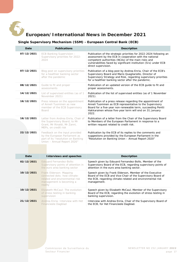<span id="page-16-0"></span>

# **European/International News in December 2021**

## <span id="page-16-1"></span>**Single Supervisory Mechanism (SSM) - European Central Bank (ECB)**

| Date       | <b>Publications</b>                                                                                                                  | <b>Description</b>                                                                                                                                                                                                                                                            |
|------------|--------------------------------------------------------------------------------------------------------------------------------------|-------------------------------------------------------------------------------------------------------------------------------------------------------------------------------------------------------------------------------------------------------------------------------|
| 07/12/2021 | ECB Banking Supervision -<br>Supervisory priorities for 2022-<br>2024                                                                | Publication of the strategic priorities for 2022-2024 following an<br>assessment by the ECB in cooperation with the national<br>competent authorities (NCAs) of the main risks and<br>vulnerabilities faced by significant institution (SIs) under ECB<br>direct supervision. |
| 07/12/2021 | Blog post on supervisory priorities<br>for a healthier banking sector<br>after the pandemic                                          | Publication of a blog post by Andrea Enria, Chair of the ECB's<br>Supervisory Board and Mario Quagliariello, Director of<br>Supervisory Strategy and Risk, regarding supervisory priorities<br>for a healthier banking sector after the pandemic.                             |
| 08/12/2021 | Guide to fit and proper<br>assessments                                                                                               | Publication of an updated version of the ECB quide to fit and<br>proper assessments.                                                                                                                                                                                          |
| 14/12/2021 | List of supervised entities (as of 1<br>November 2021)                                                                               | Publication of the list of supervised entities (as of 1 November<br>2021).                                                                                                                                                                                                    |
| 16/12/2021 | Press release on the appointment<br>of Anneli Tuominen as new<br>member of the ECB Supervisory<br>Board                              | Publication of a press release regarding the appointment of<br>Anneli Tuominen as ECB representative to the Supervisory<br>Board for a five-year non-renewable term, succeeding Pentti<br>Hakkarainen whose five-year term will end on 31 January<br>2022.                    |
| 16/12/2021 | Letter from Andrea Enria, Chair of<br>the Supervisory Board, to Mr<br>Grant, Mr Rinaldi, Mr Zanni,<br>MEPs, on credit risk           | Publication of a letter from the Chair of the Supervisory Board<br>to Members of the European Parliament in response to a<br>written request related to credit risk.                                                                                                          |
| 22/12/2021 | Feedback on the input provided<br>by the European Parliament as<br>part of its "resolution on Banking<br>Union - Annual Report 2020" | Publication by the ECB of its replies to the comments and<br>suggestions provided by the European Parliament in the<br>"Resolution on Banking Union - Annual Report 2020"                                                                                                     |
| Date       | <b>Interviews and speeches</b>                                                                                                       | <b>Description</b>                                                                                                                                                                                                                                                            |
| 02/12/2021 | Edouard Fernandez-Bollo:<br>Supervisory points of attention in<br>the euro area banking sector                                       | Speech given by Edouard Fernandez-Bollo, Member of the<br>Supervisory Board of the ECB, regarding supervisory points of<br>attention in the euro area banking sector.                                                                                                         |
| 10/12/2021 | Frank Elderson: Mapping<br>connected dots: how climate-<br>related and environmental risk<br>management is becoming a<br>reality     | Speech given by Frank Elderson, Member of the Executive<br>Board of the ECB and Vice-Chair of the Supervisory Board of<br>the ECB, regarding climate-related and environmental risk<br>management.                                                                            |
| 10/12/2021 | Elizabeth McCaul: The evolution<br>of stress testing in banking<br>supervision                                                       | Speech given by Elizabeth McCaul, Member of the Supervisory<br>Board of the ECB, regarding the evolution of stress testing in<br>banking supervision.                                                                                                                         |
| 21/12/2021 | Andrea Enria: Interview with Het<br>Financieele Dagblad                                                                              | Interview with Andrea Enria, Chair of the Supervisory Board of<br>the ECB, for Het Financieele Dagblad.                                                                                                                                                                       |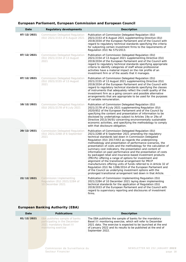<span id="page-17-0"></span>

| Date       | <b>Regulatory developments</b>                                                  | Description                                                                                                                                                                                                                                                                                                                                                                                                                                                                                                                                                                                                                                                                                                                                                                                                                                                                                                                                    |
|------------|---------------------------------------------------------------------------------|------------------------------------------------------------------------------------------------------------------------------------------------------------------------------------------------------------------------------------------------------------------------------------------------------------------------------------------------------------------------------------------------------------------------------------------------------------------------------------------------------------------------------------------------------------------------------------------------------------------------------------------------------------------------------------------------------------------------------------------------------------------------------------------------------------------------------------------------------------------------------------------------------------------------------------------------|
| 07/12/2021 | <b>Commission Delegated Regulation</b><br>(EU) 2021/2153 of 6 August 2021       | Publication of Commission Delegated Regulation (EU)<br>2021/2153 of 6 August 2021 supplementing Directive (EU)<br>2019/2034 of the European Parliament and of the Council with<br>regard to regulatory technical standards specifying the criteria<br>for subjecting certain investment firms to the requirements of<br>Regulation (EU) No 575/2013.                                                                                                                                                                                                                                                                                                                                                                                                                                                                                                                                                                                           |
| 07/12/2021 | <b>Commission Delegated Regulation</b><br>(EU) 2021/2154 of 13 August<br>2021   | Publication of Commission Delegated Regulation (EU)<br>2021/2154 of 13 August 2021 supplementing Directive (EU)<br>2019/2034 of the European Parliament and of the Council with<br>regard to regulatory technical standards specifying appropriate<br>criteria to identify categories of staff whose professional<br>activities have a material impact on the risk profile of an<br>investment firm or of the assets that it manages.                                                                                                                                                                                                                                                                                                                                                                                                                                                                                                          |
| 07/12/2021 | <b>Commission Delegated Regulation</b><br>(EU) 2021/2155 of 13 August<br>2021   | Publication of Commission Delegated Regulation (EU)<br>2021/2155 of 13 August 2021 supplementing Directive (EU)<br>2019/2034 of the European Parliament and of the Council with<br>regard to regulatory technical standards specifying the classes<br>of instruments that adequately reflect the credit quality of the<br>investment firm as a going concern and possible alternative<br>arrangements that are appropriate to be used for the purposes<br>of variable remuneration.                                                                                                                                                                                                                                                                                                                                                                                                                                                            |
| 10/12/2021 | <b>Commission Delegated Regulation</b><br>(EU) 2021/2178 of 6 July 2021         | Publication of Commission Delegated Regulation (EU)<br>2021/2178 of 6 July 2021 supplementing Regulation (EU)<br>2020/852 of the European Parliament and of the Council by<br>specifying the content and presentation of information to be<br>disclosed by undertakings subject to Articles 19a or 29a of<br>Directive 2013/34/EU concerning environmentally sustainable<br>economic activities, and specifying the methodology to comply<br>with that disclosure obligation.                                                                                                                                                                                                                                                                                                                                                                                                                                                                  |
| 20/12/2021 | <b>Commission Delegated Regulation</b><br>(EU) 2021/2268 of 6 September<br>2021 | Publication of Commission Delegated Regulation (EU)<br>2021/2268 of 6 September 2021 amending the regulatory<br>technical standards laid down in Commission Delegated<br>Regulation (EU) 2017/653 as regards the underpinning<br>methodology and presentation of performance scenarios, the<br>presentation of costs and the methodology for the calculation of<br>summary cost indicators, the presentation and content of<br>information on past performance and the presentation of costs<br>by packaged retail and insurance-based investment products<br>(PRIIPs) offering a range of options for investment and<br>alignment of the transitional arrangement for PRIIP<br>manufacturers offering units of funds referred to in Article 32 of<br>Regulation (EU) No 1286/2014 of the European Parliament and<br>of the Council as underlying investment options with the<br>prolonged transitional arrangement laid down in that Article. |
| 22/12/2021 | Commission Implementing<br>Regulation (EU) 2021/2284 of<br>10 December 2021     | Publication of Commission Implementing Regulation (EU)<br>2021/2284 of 10 December 2021 laying down implementing<br>technical standards for the application of Regulation (EU)<br>2019/2033 of the European Parliament and of the Council with<br>regard to supervisory reporting and disclosures of investment<br>firms.                                                                                                                                                                                                                                                                                                                                                                                                                                                                                                                                                                                                                      |

# <span id="page-17-1"></span>**European Banking Authority (EBA)**

| Date       | <b>Publications</b>                                                                                               | <b>Description</b>                                                                                                                                                                                                                                                          |
|------------|-------------------------------------------------------------------------------------------------------------------|-----------------------------------------------------------------------------------------------------------------------------------------------------------------------------------------------------------------------------------------------------------------------------|
| 01/12/2021 | EBA publishes sample of banks<br>participating in the December<br>2021 mandatory Basel III<br>monitoring exercise | The EBA publishes the sample of banks for the mandatory<br>Basel III monitoring exercise, which will refer to December<br>2021 data. The exercise is expected to be launched at the end<br>of January 2022 and its results to be published at the end of<br>September 2022. |
|            | Commission de Surveillance du<br>Secteur Financier                                                                | NEWSLETTER NO 252 JANUARY 2022<br>page 18                                                                                                                                                                                                                                   |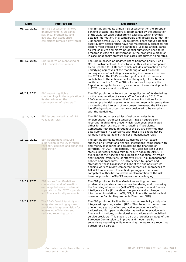| Date       | <b>Publications</b>                                                                                                                                                         | <b>Description</b>                                                                                                                                                                                                                                                                                                                                                                                                                                                                                                                                                                                                                                                                                                                                                                                                         |
|------------|-----------------------------------------------------------------------------------------------------------------------------------------------------------------------------|----------------------------------------------------------------------------------------------------------------------------------------------------------------------------------------------------------------------------------------------------------------------------------------------------------------------------------------------------------------------------------------------------------------------------------------------------------------------------------------------------------------------------------------------------------------------------------------------------------------------------------------------------------------------------------------------------------------------------------------------------------------------------------------------------------------------------|
| 03/12/2021 | EBA risk assessment shows<br>improvements in EU banks<br>solvency, profitability and<br>liquidity, but asset price<br>corrections remain a key threat                       | The EBA published its annual risk assessment of the European<br>banking system. The report is accompanied by the publication<br>of the 2021 EU-wide transparency exercise, which provides<br>detailed information, in a comparable and accessible format, for<br>120 banks across 25 EEA / EU countries. Fears about potential<br>asset quality deterioration have not materialised, except for the<br>sectors most affected by the pandemic. Looking ahead, banks<br>as well as micro and macro prudential authorities need to be<br>prepared in case of a deterioration in the economic outlook or<br>in case inflationary pressure translates into further rising rates.                                                                                                                                                |
| 08/12/2021 | EBA updates on monitoring of<br>CET1 capital instruments                                                                                                                    | The EBA published an updated list of Common Equity Tier 1<br>(CET1) instruments of EU institutions. This list is accompanied<br>by an updated CET1 Report, which includes information on the<br>underlying objectives of the monitoring as well as on the<br>consequences of including or excluding instruments in or from<br>the CET1 list. The EBA's monitoring of capital instruments<br>contributes to the enhancement of the quality of institutions'<br>capital across the EU. The EBA will continue to update the<br>Report on a regular basis to give account of new developments<br>in CET1 issuances and practices.                                                                                                                                                                                              |
| 09/12/2021 | <b>EBA report highlights</b><br>shortcomings in the application of<br>its Guidelines on the<br>remuneration of sales staff                                                  | The EBA published a Report on the application of its Guidelines<br>on the remuneration of sales staff in force since 2016. The<br>EBA's assessment revealed that financial institutions focus<br>more on prudential requirements and commercial interests than<br>on meeting the interests of consumers. However, the EBA also<br>identified good practices that are considered to be compliant<br>with the Guidelines.                                                                                                                                                                                                                                                                                                                                                                                                    |
| 10/12/2021 | EBA issues revised list of ITS<br>validation rules                                                                                                                          | The EBA issued a revised list of validation rules in its<br>Implementing Technical Standards (ITS) on supervisory<br>reporting, highlighting those, which have been deactivated<br>either for incorrectness or for triggering IT problems.<br>Competent Authorities throughout the EU are informed that<br>data submitted in accordance with these ITS should not be<br>formally validated against the set of deactivated rules.                                                                                                                                                                                                                                                                                                                                                                                           |
| 16/12/2021 | EBA strengthens AML/CFT<br>supervision in the EU through<br>revised Guidelines and enhanced<br>cooperation                                                                  | The EBA published its revised Guidelines on risk-based<br>supervision of credit and financial institutions' compliance with<br>anti-money laundering and countering the financing of<br>terrorism (AML/CFT) obligations. The Guidelines set out the<br>steps supervisors should take to ensure adequate AML/CFT<br>oversight of their sector and support the adoption, by credit<br>and financial institutions, of effective ML/TF risk management<br>policies and procedures. The EBA decided to update and<br>strengthen these Guidelines in light of the findings from its<br>ongoing work to review competent authorities' approaches to<br>AML/CFT supervision. These findings suggest that some<br>competent authorities found the implementation of the risk-<br>based approach to AML/CFT supervision challenging. |
| 16/12/2021 | <b>EBA</b> issues final Guidelines on<br>cooperation and information<br>exchange between prudential<br>supervisors, AML/CFT supervisors<br>and financial intelligence units | The EBA published its final Guidelines setting out how<br>prudential supervisors, anti-money laundering and countering<br>the financing of terrorism (AML/CFT) supervisors and financial<br>intelligence units (FIUs) should cooperate and exchange<br>information in relation to AML/CFT, in line with provisions laid<br>down in the Capital Requirements Directive (CRD).                                                                                                                                                                                                                                                                                                                                                                                                                                               |
| 16/12/2021 | The EBA's feasibility study on<br>integrated reporting system<br>provides a long-term vision for<br>increasing efficiencies and<br>reducing reporting costs                 | The EBA published its final Report on the feasibility study of an<br>integrated reporting system (IRS). This Report is the outcome<br>of over two years of effort and active engagement of both<br>national and European authorities, as well as interaction with<br>financial institutions, professional associations and specialised<br>service providers. This study is part of a broader strategy of the<br>European Commission to improve and modernise EU<br>supervisory reporting while minimising the aggregate reporting<br>burden for all parties.                                                                                                                                                                                                                                                               |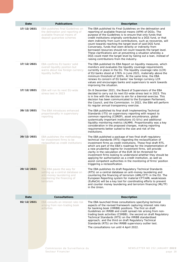| 17/12/2021<br>EBA publishes final Guidelines on<br>the delineation and reporting of<br>available financial means of<br>deposit quarantee schemes                      | The EBA published its Final Guidelines on the delineation and<br>reporting of available financial means (AFM) of DGSs. The<br>purpose of the Guidelines is to ensure that only funds that<br>credit institutions originally contributed to a DGS fund, or that<br>stem indirectly from such contributions, such as recoveries, will<br>count towards reaching the target level of said DGS fund.<br>Conversely, funds that stem directly or indirectly from<br>borrowed resources should not count towards the target level.<br>These clarifications aim at preventing a situation whereby a<br>DGS could meet the target level by taking out a loan, instead of<br>raising contributions from the industry. |
|-----------------------------------------------------------------------------------------------------------------------------------------------------------------------|--------------------------------------------------------------------------------------------------------------------------------------------------------------------------------------------------------------------------------------------------------------------------------------------------------------------------------------------------------------------------------------------------------------------------------------------------------------------------------------------------------------------------------------------------------------------------------------------------------------------------------------------------------------------------------------------------------------|
| 17/12/2021<br>EBA confirms EU banks' solid<br>overall liquidity position but<br>warns about low foreign currency<br>liquidity buffers                                 | The EBA published its EBA Report on liquidity measures, which<br>monitors and evaluates the liquidity coverage requirements<br>currently in place in the EU. The liquidity coverage ratio (LCR)<br>of EU banks stood at 176% in June 2021, materially above the<br>minimum threshold of 100%. At the same time, the EBA<br>renews its concern of EU banks' low foreign currency LCR<br>values and encourages banks and supervisors to work towards<br>improving the situation.                                                                                                                                                                                                                               |
| 17/12/2021<br>EBA will run its next EU-wide<br>stress test in 2023                                                                                                    | On 8 December 2021, the Board of Supervisors of the EBA<br>decided to carry out its next EU-wide stress test in 2023. This<br>is in line with the decision to aim for a biennial exercise. This<br>decision has been communicated to the European Parliament,<br>the Council, and the Commission. In 2022, the EBA will perform<br>its regular annual transparency exercise.                                                                                                                                                                                                                                                                                                                                 |
| 20/12/2021<br>The EBA introduces enhanced<br>proportionality in supervisory<br>reporting<br>institutions.                                                             | The EBA published its final draft Implementing Technical<br>Standards (ITS) on supervisory reporting with respect to<br>common reporting (COREP), asset encumbrance, global<br>systemically important institutions (G-SIIs) and additional<br>liquidity monitoring metrics (ALMM). Proportionality was a key<br>consideration in the proposed changes, making reporting<br>requirements better suited to the size and risk of the                                                                                                                                                                                                                                                                            |
| 20/12/2021<br>EBA publishes the methodology<br>for investment firms to be<br>reclassified as credit institutions                                                      | The EBA published a package of two final draft regulatory<br>technical standards (RTS) regarding the reclassification of<br>investment firms as credit institutions. These final draft RTS,<br>which are part of the EBA's roadmap for the implementation of<br>a new prudential regime for investment firms, will provide<br>clarity in the calculation of the EUR 30 bn threshold for<br>investment firms looking to understand whether they should be<br>applying for authorisation as a credit institution, as well as<br>assist competent authorities in the monitoring of firms' position<br>triggering a reclassification.                                                                            |
| 20/12/2021<br>The EBA paves the way for<br>setting up a central database on<br>anti-money laundering and<br>countering the financing of<br>terrorism<br>in the Union. | The EBA publishes its draft Regulatory Technical Standards<br>(RTS) on a central database on anti-money laundering and<br>countering the financing of terrorism (AML/CFT) in the EU. The<br>European Reporting system for material CFT/AML weaknesses<br>(EuReCA) will be a key tool for coordinating efforts to prevent<br>and counter money laundering and terrorism financing (ML/TF)                                                                                                                                                                                                                                                                                                                     |
| <b>Consultations</b><br>Date                                                                                                                                          | <b>Description</b>                                                                                                                                                                                                                                                                                                                                                                                                                                                                                                                                                                                                                                                                                           |
| 02/12/2021<br>EBA consults on interest rate risk<br>arising from non-trading book<br>activities                                                                       | The EBA launched three consultations specifying technical<br>aspects of the revised framework capturing interest rate risks<br>for banking book (IRRBB) positions. The first on draft<br>Guidelines on IRRBB and credit spread risk arising from non-<br>trading book activities (CSRBB); the second on draft Regulatory<br>Technical Standards (RTS) on the IRRBB standardised<br>approach; and the third on draft Regulatory Technical<br>Standards (RTS) on the IRRBB supervisory outlier test.<br>The consultations run until 4 April 2022.                                                                                                                                                              |
| Commission de Surveillance du<br>Secteur Financier                                                                                                                    | NEWSLETTER NO 252 JANUARY 2022<br>page 20                                                                                                                                                                                                                                                                                                                                                                                                                                                                                                                                                                                                                                                                    |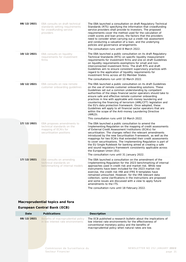| 08/12/2021 | EBA consults on draft technical<br>standards setting requirements<br>for crowdfunding service<br>providers   | The EBA launched a consultation on draft Regulatory Technical<br>Standards (RTS) specifying the information that crowdfunding<br>service providers shall provide to investors. The proposed<br>requirements cover the method used for the calculation of<br>credit scores and loan prices, the factors that the providers<br>need to consider when carrying out a credit risk assessment<br>and conducting a valuation of a loan, and the underlying<br>policies and governance arrangements.<br>The consultation runs until 8 March 2022.                                                                                                                                                                |
|------------|--------------------------------------------------------------------------------------------------------------|-----------------------------------------------------------------------------------------------------------------------------------------------------------------------------------------------------------------------------------------------------------------------------------------------------------------------------------------------------------------------------------------------------------------------------------------------------------------------------------------------------------------------------------------------------------------------------------------------------------------------------------------------------------------------------------------------------------|
| 10/12/2021 | EBA consults on liquidity<br>requirements for investment<br>firms                                            | The EBA launched a public consultation on its draft Regulatory<br>Technical Standards (RTS) on specific liquidity measurement<br>requirements for investment firms and one on draft Guidelines<br>on liquidity requirements exemptions for small and non-<br>interconnected investment firms. The draft RTS and draft<br>Guidelines aim to ensure consistent supervisory practices with<br>regard to the application of liquidity requirements for<br>investment firms across all EU Member States.<br>The consultations run until 10 March 2022.                                                                                                                                                         |
| 10/12/2021 | EBA consults on new remote<br>customer onboarding guidelines                                                 | The EBA launched a public consultation on its draft Guidelines<br>on the use of remote customer onboarding solutions. These<br>Guidelines set out a common understanding by competent<br>authorities of the steps financial sector operators should take to<br>ensure safe and effective remote customer onboarding<br>practices in line with applicable anti-money laundering and<br>countering the financing of terrorism (AML/CFT) legislation and<br>the EU's data protection framework. Once adopted, these<br>Guidelines will apply to all financial sector operators that are<br>within the scope of the Anti-money Laundering Directive<br>(AMLD).<br>This consultation runs until 10 March 2022. |
| 17/12/2021 | EBA proposes amendments to<br>technical standards on the<br>mapping of ECAIs for<br>securitisation positions | The EBA launched a public consultation to amend the<br>Implementing Regulation on the mapping of credit assessments<br>of External Credit Assessment Institutions (ECAIs) for<br>securitisation. The changes reflect the relevant amendments<br>introduced by the new Securitisation Framework, as well as the<br>mappings for two ECAIs that extended their credit assessments<br>to cover securitisations. The Implementing Regulation is part of<br>the EU Single Rulebook for banking aimed at creating a safe<br>and sound regulatory framework consistently applicable across<br>the European Union (EU).<br>The consultation runs until 31 January 2022.                                           |
| 17/12/2021 | EBA consults on amending<br>technical standards on<br>benchmarking of internal models                        | The EBA launched a consultation on the amendment of the<br>Implementing Regulation for the 2023 benchmarking of internal<br>approaches used in credit risk and market risk. While new<br>instruments have been included for the 2023 market risk<br>exercise, the credit risk IRB and IFRS 9 templates have<br>remained untouched. However, for the IRB relevant data<br>collection, some clarifications in the instructions are proposed<br>and some issues are discussed with a view to apply future<br>amendments to the ITS.<br>The consultation runs until 18 February 2022.                                                                                                                         |

# <span id="page-20-0"></span>**Macroprudential topics and fora**

## **European Central Bank (ECB)**

| Date       | <b>Publications</b>                                                     | <b>Description</b>                                                                                                                                                                                                                   |
|------------|-------------------------------------------------------------------------|--------------------------------------------------------------------------------------------------------------------------------------------------------------------------------------------------------------------------------------|
| 08/12/2021 | Benefits of macroprudential policy<br>in low interest rate environments | The ECB published a research bulletin about the implications of<br>low interest rate environments for the effectiveness of<br>conventional monetary policy and the benefits of<br>macroprudential policy when natural rates are low. |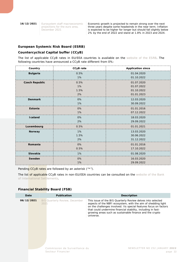**16/12/2021** Eurosystem staff macroeconomic [projections for the euro area,](https://www.ecb.europa.eu/pub/projections/html/ecb.projections202112_eurosystemstaff%7E32e481d712.en.html)  [December 2021](https://www.ecb.europa.eu/pub/projections/html/ecb.projections202112_eurosystemstaff%7E32e481d712.en.html)

Economic growth is projected to remain strong over the next three years despite some headwinds in the near term. Inflation is expected to be higher for longer but should fall slightly below 2% by the end of 2022 and stand at 1.8% in 2023 and 2024.

#### **European Systemic Risk Board (ESRB)**

#### **Countercyclical Capital buffer (CCyB)**

The list of applicable CCyB rates in EU/EEA countries is available on the [website of the ESRB.](https://www.esrb.europa.eu/national_policy/ccb/all_rates/html/index.en.html) The following countries have announced a CCyB rate different from 0%:

| Country               | <b>CCyB</b> rate | <b>Application since</b> |
|-----------------------|------------------|--------------------------|
| <b>Bulgaria</b>       | 0.5%             | 01.04.2020               |
|                       | 1%               | 01.10.2022               |
| <b>Czech Republic</b> | 0.5%             | 01.07.2020               |
|                       | 1%               | 01.07.2022               |
|                       | 1.5%             | 01.10.2022               |
|                       | 2%               | 01.01.2023               |
| <b>Denmark</b>        | 0%               | 12.03.2020               |
|                       | 1%               | 30.09.2022               |
| Estonia               | 0%               | 01.01.2016               |
|                       | 1%               | 07.12.2022               |
| Iceland               | 0%               | 18.03.2020               |
|                       | 2%               | 29.09.2022               |
| Luxembourg            | 0.5%             | 01.01.2021               |
| Norway                | 1%               | 13.03.2020               |
|                       | 1.5%             | 30.06.2022               |
|                       | 2%               | 31.12.2022               |
| Romania               | 0%               | 01.01.2016               |
|                       | 0.5%             | 17.10.2022               |
| <b>Slovakia</b>       | 1%               | 01.08.2020               |
| Sweden                | $0\%$            | 16.03.2020               |
|                       | 1%               | 29.09.2022               |

Pending CCyB rates are followed by an asterisk ("\*").

The list of applicable CCyB rates in non-EU/EEA countries can be consulted on the website of the Bank [of International Settlements.](https://www.bis.org/bcbs/ccyb/)

#### **Financial Stability Board (FSB)**

| Date       | <b>Publication</b>                                 | <b>Description</b>                                                                                                                                                                                                                                                                                                                         |
|------------|----------------------------------------------------|--------------------------------------------------------------------------------------------------------------------------------------------------------------------------------------------------------------------------------------------------------------------------------------------------------------------------------------------|
| 06/12/2021 | <b>BIS Quarterly Review, December</b><br>2021      | This issue of the BIS Quarterly Review delves into selected<br>aspects of the NBFI ecosystem, with the aim of shedding light<br>on the challenges involved. Its special features focus on factors<br>that could undermine financial stability, including in fast-<br>growing areas such as sustainable finance and the crypto<br>universe. |
|            | Commission de Surveillance du<br>Secteur Financier | TER NO 252 JANUARY 2022<br>NEWSIFT<br>page 22                                                                                                                                                                                                                                                                                              |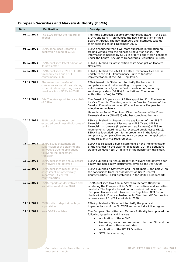| <b>European Securities and Markets Authority (ESMA)</b> |  |  |  |
|---------------------------------------------------------|--|--|--|
|---------------------------------------------------------|--|--|--|

<span id="page-22-0"></span>

| Date       | <b>Publication</b>                                                                                                                            | <b>Description</b>                                                                                                                                                                                                                                                                                                                                                                                                 |
|------------|-----------------------------------------------------------------------------------------------------------------------------------------------|--------------------------------------------------------------------------------------------------------------------------------------------------------------------------------------------------------------------------------------------------------------------------------------------------------------------------------------------------------------------------------------------------------------------|
| 01.12.2021 | The ESAs renew their board of<br>appeal                                                                                                       | The three European Supervisory Authorities (ESAs) - the EBA,<br>EIOPA and ESMA - announced the new composition of their<br>Board of Appeal. The new members and alternates take up<br>their positions as of 1 December 2021.                                                                                                                                                                                       |
| 01.12.2021 | ESMA announces upcoming<br>publication aimed at CSDs                                                                                          | ESMA announced that it will start publishing information on<br>trading venues with the highest turnover for bonds. This<br>information is needed by CSDs in order to apply cash penalties<br>under the Central Securities Depositories Regulation (CSDR).                                                                                                                                                          |
| 03.12.2021 | ESMA publishes latest edition of<br>its newsletter                                                                                            | ESMA published its latest edition of its Spotlight on Markets<br>Newsletter.                                                                                                                                                                                                                                                                                                                                       |
| 10.12.2021 | ESMA publishes 2021 ESEF XBRL<br>taxonomy files and ESEF<br>conformance suite                                                                 | ESMA published the 2021 ESEF XBRL taxonomy files and an<br>update to the ESEF Conformance Suite to facilitate<br>implementation of the ESEF Regulation.                                                                                                                                                                                                                                                            |
| 14.12.2021 | Statement on transfer of<br>competences and duties relating<br>to certain data reporting services<br>providers from NCA's to ESMA             | ESMA issued this Statement to clarify the transfer of<br>competences and duties relating to supervisory and<br>enforcement activity in the field of certain data reporting<br>services providers (DRSPs) from National Competent<br>Authorities (NCAs) to ESMA.                                                                                                                                                    |
| 15.12.2021 | Erik Thedéen appointed vice chair<br>of ESMA                                                                                                  | The Board of Supervisors of ESMA appointed Erik Thedéen as<br>its Vice Chair. Mr Thedéen, who is the Director General of the<br>Swedish Finansinspektionen (FI), will serve a 21/2 year term<br>effective immediately.<br>He replaces Anneli Tuominen, Director-General of the Finnish<br>Finanssivalvonta (FIN-FSA) who has completed her term.                                                                   |
| 15.12.2021 | ESMA publishes report on<br>expected credit loss disclosures of<br>banks                                                                      | ESMA published its Report on the application of the IFRS 7<br>Financial Instruments: Disclosures (IFRS 7) and IFRS 9<br>Financial Instruments (impairment requirements) (IFRS 9)<br>requirements regarding banks' expected credit losses (ECL).<br>ESMA has identified room for improvement in the level of<br>compliance, comparability and transparency in the application<br>of the relevant IFRS requirements. |
| 16.12.2021 | <b>ESMA</b> issues statement on<br>supervision of the clearing and<br>derivative trading obligations<br>following the benchmark<br>transition | ESMA has released a public statement on the implementation<br>of the changes to the clearing obligation (CO) and derivative<br>trading obligation (DTO) in light of the benchmark transition.                                                                                                                                                                                                                      |
| 16.12.2021 | ESMA publishes its annual report<br>on waivers and deferrals                                                                                  | ESMA published its Annual Report on waivers and deferrals for<br>equity and non-equity instruments covering the year 2020.                                                                                                                                                                                                                                                                                         |
| 17.12.2021 | ESMA publishes results of its<br>assessment of systemically<br>important UK central<br>counterparties                                         | ESMA published a Statement and Report (part 1 and part 2) on<br>the conclusions from its assessment of Tier 2 Central<br>Counterparties (CCPs) established in the United Kingdom (UK).                                                                                                                                                                                                                             |
| 17.12.2021 | ESMA reports on derivatives and<br>securities markets in 2020                                                                                 | ESMA published two Annual Statistical Reports (Reports)<br>analysing the European Union's (EU) derivatives and securities<br>markets. The Reports, based on data submitted under the<br>European Markets and Infrastructure Regulation (EMIR) and<br>the Markets in Financial Instruments Directive (MiFID), provide<br>an overview of EU/EEA markets in 2020.                                                     |
| 17.12.2021 | ESMA calls to deprioritise buy-in<br>supervision                                                                                              | ESMA published a Statement to clarify the practical<br>implementation of the EU CSDR settlement discipline regime.                                                                                                                                                                                                                                                                                                 |
| 17.12.2021 | New Q&AS available                                                                                                                            | The European Securities and Markets Authority has updated the<br>following Questions and Answers:<br>Application of the AIFMD<br>$\bullet$<br>Improving securities settlement in the EU and on<br>central securities depositories<br>Application of the UCITS Directive<br>SFTR data reporting                                                                                                                     |